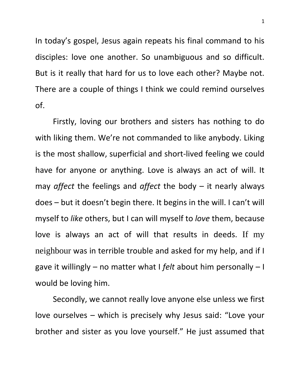In today's gospel, Jesus again repeats his final command to his disciples: love one another. So unambiguous and so difficult. But is it really that hard for us to love each other? Maybe not. There are a couple of things I think we could remind ourselves of.

Firstly, loving our brothers and sisters has nothing to do with liking them. We're not commanded to like anybody. Liking is the most shallow, superficial and short-lived feeling we could have for anyone or anything. Love is always an act of will. It may *affect* the feelings and *affect* the body – it nearly always does – but it doesn't begin there. It begins in the will. I can't will myself to *like* others, but I can will myself to *love* them, because love is always an act of will that results in deeds. If my neighbour was in terrible trouble and asked for my help, and if I gave it willingly – no matter what I *felt* about him personally – I would be loving him.

Secondly, we cannot really love anyone else unless we first love ourselves – which is precisely why Jesus said: "Love your brother and sister as you love yourself." He just assumed that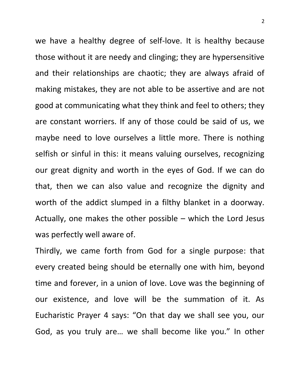we have a healthy degree of self-love. It is healthy because those without it are needy and clinging; they are hypersensitive and their relationships are chaotic; they are always afraid of making mistakes, they are not able to be assertive and are not good at communicating what they think and feel to others; they are constant worriers. If any of those could be said of us, we maybe need to love ourselves a little more. There is nothing selfish or sinful in this: it means valuing ourselves, recognizing our great dignity and worth in the eyes of God. If we can do that, then we can also value and recognize the dignity and worth of the addict slumped in a filthy blanket in a doorway. Actually, one makes the other possible – which the Lord Jesus was perfectly well aware of.

Thirdly, we came forth from God for a single purpose: that every created being should be eternally one with him, beyond time and forever, in a union of love. Love was the beginning of our existence, and love will be the summation of it. As Eucharistic Prayer 4 says: "On that day we shall see you, our God, as you truly are… we shall become like you." In other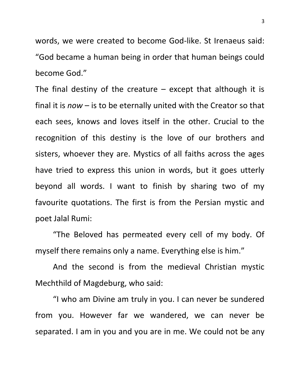words, we were created to become God-like. St Irenaeus said: "God became a human being in order that human beings could become God."

The final destiny of the creature  $-$  except that although it is final it is *now* – is to be eternally united with the Creator so that each sees, knows and loves itself in the other. Crucial to the recognition of this destiny is the love of our brothers and sisters, whoever they are. Mystics of all faiths across the ages have tried to express this union in words, but it goes utterly beyond all words. I want to finish by sharing two of my favourite quotations. The first is from the Persian mystic and poet Jalal Rumi:

"The Beloved has permeated every cell of my body. Of myself there remains only a name. Everything else is him."

And the second is from the medieval Christian mystic Mechthild of Magdeburg, who said:

"I who am Divine am truly in you. I can never be sundered from you. However far we wandered, we can never be separated. I am in you and you are in me. We could not be any